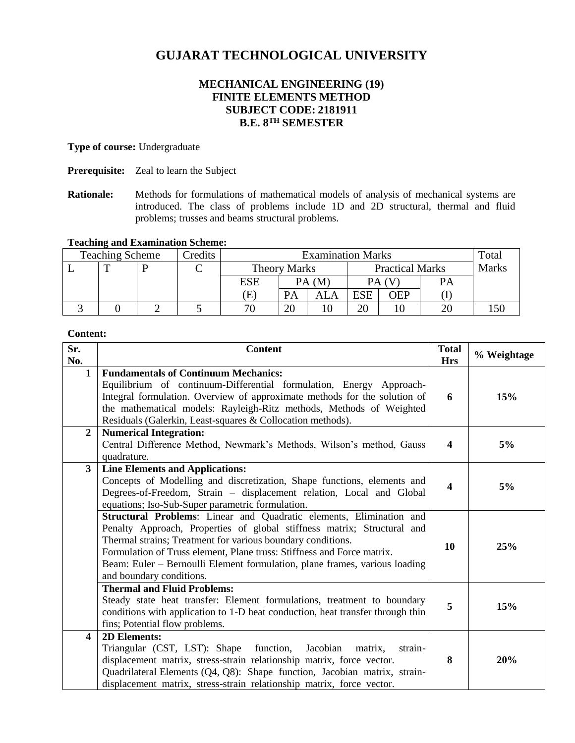# **GUJARAT TECHNOLOGICAL UNIVERSITY**

## **MECHANICAL ENGINEERING (19) FINITE ELEMENTS METHOD SUBJECT CODE: 2181911 B.E. 8TH SEMESTER**

**Type of course:** Undergraduate

**Prerequisite:** Zeal to learn the Subject

**Rationale:** Methods for formulations of mathematical models of analysis of mechanical systems are introduced. The class of problems include 1D and 2D structural, thermal and fluid problems; trusses and beams structural problems.

#### **Teaching and Examination Scheme:**

| <b>Teaching Scheme</b> |  |  | Credits | <b>Examination Marks</b> |        |                        |            |     | Total |  |
|------------------------|--|--|---------|--------------------------|--------|------------------------|------------|-----|-------|--|
|                        |  |  |         | <b>Theory Marks</b>      |        | <b>Practical Marks</b> |            |     | Marks |  |
|                        |  |  |         | <b>ESE</b>               | PA (M) |                        |            |     | PA    |  |
|                        |  |  |         | Έ                        | PА     | ALA                    | <b>ESE</b> | )EP |       |  |
|                        |  |  |         | 70                       |        |                        |            |     |       |  |

#### **Content:**

| Sr.<br>No.              | <b>Content</b>                                                                                                                                                                                                                                                                                                             |                         | % Weightage |
|-------------------------|----------------------------------------------------------------------------------------------------------------------------------------------------------------------------------------------------------------------------------------------------------------------------------------------------------------------------|-------------------------|-------------|
| $\mathbf{1}$            | <b>Fundamentals of Continuum Mechanics:</b>                                                                                                                                                                                                                                                                                |                         |             |
|                         | Equilibrium of continuum-Differential formulation, Energy Approach-<br>Integral formulation. Overview of approximate methods for the solution of<br>the mathematical models: Rayleigh-Ritz methods, Methods of Weighted<br>Residuals (Galerkin, Least-squares & Collocation methods).                                      | 6                       | 15%         |
| $\overline{2}$          | <b>Numerical Integration:</b>                                                                                                                                                                                                                                                                                              |                         |             |
|                         | Central Difference Method, Newmark's Methods, Wilson's method, Gauss                                                                                                                                                                                                                                                       | $\overline{\mathbf{4}}$ | 5%          |
|                         | quadrature.                                                                                                                                                                                                                                                                                                                |                         |             |
| $\overline{\mathbf{3}}$ | <b>Line Elements and Applications:</b><br>Concepts of Modelling and discretization, Shape functions, elements and<br>Degrees-of-Freedom, Strain - displacement relation, Local and Global<br>equations; Iso-Sub-Super parametric formulation.                                                                              | 4                       | 5%          |
|                         | Structural Problems: Linear and Quadratic elements, Elimination and                                                                                                                                                                                                                                                        |                         |             |
|                         | Penalty Approach, Properties of global stiffness matrix; Structural and<br>Thermal strains; Treatment for various boundary conditions.<br>Formulation of Truss element, Plane truss: Stiffness and Force matrix.<br>Beam: Euler – Bernoulli Element formulation, plane frames, various loading<br>and boundary conditions. | 10                      | 25%         |
|                         | <b>Thermal and Fluid Problems:</b>                                                                                                                                                                                                                                                                                         |                         |             |
|                         | Steady state heat transfer: Element formulations, treatment to boundary<br>conditions with application to 1-D heat conduction, heat transfer through thin<br>fins; Potential flow problems.                                                                                                                                | 5                       | 15%         |
| $\overline{\mathbf{4}}$ | 2D Elements:                                                                                                                                                                                                                                                                                                               |                         |             |
|                         | Triangular (CST, LST): Shape<br>function,<br>Jacobian<br>matrix,<br>strain-<br>displacement matrix, stress-strain relationship matrix, force vector.<br>Quadrilateral Elements (Q4, Q8): Shape function, Jacobian matrix, strain-<br>displacement matrix, stress-strain relationship matrix, force vector.                 | 8                       | 20%         |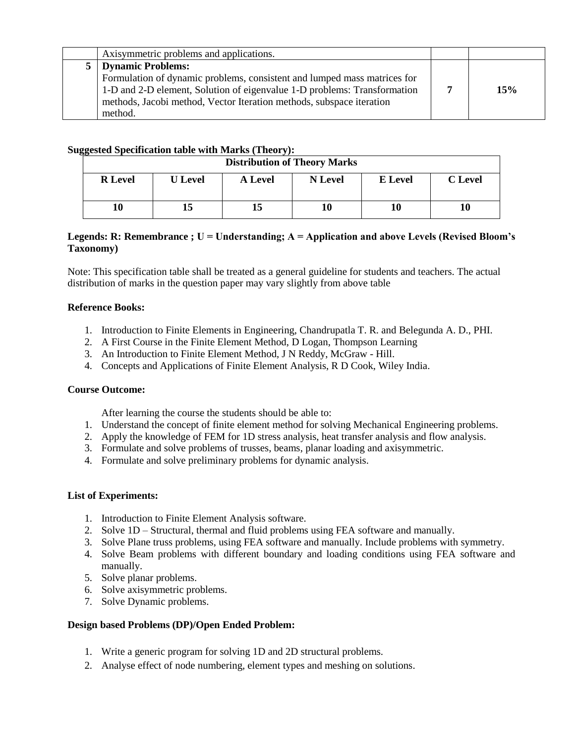| Axisymmetric problems and applications.                                  |     |
|--------------------------------------------------------------------------|-----|
| <b>5</b>   Dynamic Problems:                                             |     |
| Formulation of dynamic problems, consistent and lumped mass matrices for |     |
| 1-D and 2-D element, Solution of eigenvalue 1-D problems: Transformation | 15% |
| methods, Jacobi method, Vector Iteration methods, subspace iteration     |     |
| method.                                                                  |     |

#### **Suggested Specification table with Marks (Theory):**

| ັ                                   |                |                |         |         |                |  |
|-------------------------------------|----------------|----------------|---------|---------|----------------|--|
| <b>Distribution of Theory Marks</b> |                |                |         |         |                |  |
| <b>R</b> Level                      | <b>U</b> Level | <b>A</b> Level | N Level | E Level | <b>C</b> Level |  |
|                                     |                |                |         |         |                |  |
| 10                                  |                | 15             | 10      |         | 10             |  |

#### Legends: R: Remembrance ; U = Understanding; A = Application and above Levels (Revised Bloom's **Taxonomy)**

Note: This specification table shall be treated as a general guideline for students and teachers. The actual distribution of marks in the question paper may vary slightly from above table

#### **Reference Books:**

- 1. Introduction to Finite Elements in Engineering, Chandrupatla T. R. and Belegunda A. D., PHI.
- 2. A First Course in the Finite Element Method, D Logan, Thompson Learning
- 3. An Introduction to Finite Element Method, J N Reddy, McGraw Hill.
- 4. Concepts and Applications of Finite Element Analysis, R D Cook, Wiley India.

#### **Course Outcome:**

After learning the course the students should be able to:

- 1. Understand the concept of finite element method for solving Mechanical Engineering problems.
- 2. Apply the knowledge of FEM for 1D stress analysis, heat transfer analysis and flow analysis.
- 3. Formulate and solve problems of trusses, beams, planar loading and axisymmetric.
- 4. Formulate and solve preliminary problems for dynamic analysis.

#### **List of Experiments:**

- 1. Introduction to Finite Element Analysis software.
- 2. Solve 1D Structural, thermal and fluid problems using FEA software and manually.
- 3. Solve Plane truss problems, using FEA software and manually. Include problems with symmetry.
- 4. Solve Beam problems with different boundary and loading conditions using FEA software and manually.
- 5. Solve planar problems.
- 6. Solve axisymmetric problems.
- 7. Solve Dynamic problems.

#### **Design based Problems (DP)/Open Ended Problem:**

- 1. Write a generic program for solving 1D and 2D structural problems.
- 2. Analyse effect of node numbering, element types and meshing on solutions.